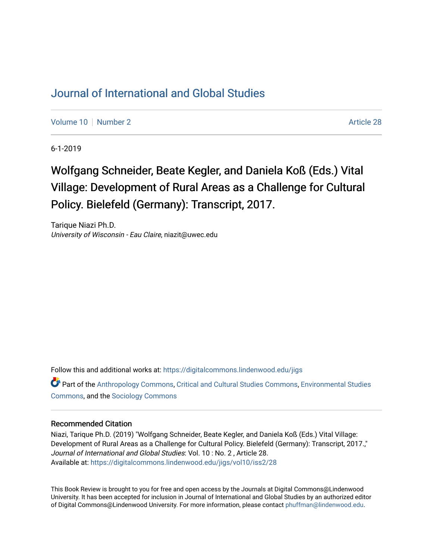## [Journal of International and Global Studies](https://digitalcommons.lindenwood.edu/jigs)

[Volume 10](https://digitalcommons.lindenwood.edu/jigs/vol10) [Number 2](https://digitalcommons.lindenwood.edu/jigs/vol10/iss2) Article 28

6-1-2019

## Wolfgang Schneider, Beate Kegler, and Daniela Koß (Eds.) Vital Village: Development of Rural Areas as a Challenge for Cultural Policy. Bielefeld (Germany): Transcript, 2017.

Tarique Niazi Ph.D. University of Wisconsin - Eau Claire, niazit@uwec.edu

Follow this and additional works at: [https://digitalcommons.lindenwood.edu/jigs](https://digitalcommons.lindenwood.edu/jigs?utm_source=digitalcommons.lindenwood.edu%2Fjigs%2Fvol10%2Fiss2%2F28&utm_medium=PDF&utm_campaign=PDFCoverPages) 

Part of the [Anthropology Commons](http://network.bepress.com/hgg/discipline/318?utm_source=digitalcommons.lindenwood.edu%2Fjigs%2Fvol10%2Fiss2%2F28&utm_medium=PDF&utm_campaign=PDFCoverPages), [Critical and Cultural Studies Commons](http://network.bepress.com/hgg/discipline/328?utm_source=digitalcommons.lindenwood.edu%2Fjigs%2Fvol10%2Fiss2%2F28&utm_medium=PDF&utm_campaign=PDFCoverPages), [Environmental Studies](http://network.bepress.com/hgg/discipline/1333?utm_source=digitalcommons.lindenwood.edu%2Fjigs%2Fvol10%2Fiss2%2F28&utm_medium=PDF&utm_campaign=PDFCoverPages)  [Commons](http://network.bepress.com/hgg/discipline/1333?utm_source=digitalcommons.lindenwood.edu%2Fjigs%2Fvol10%2Fiss2%2F28&utm_medium=PDF&utm_campaign=PDFCoverPages), and the [Sociology Commons](http://network.bepress.com/hgg/discipline/416?utm_source=digitalcommons.lindenwood.edu%2Fjigs%2Fvol10%2Fiss2%2F28&utm_medium=PDF&utm_campaign=PDFCoverPages)

## Recommended Citation

Niazi, Tarique Ph.D. (2019) "Wolfgang Schneider, Beate Kegler, and Daniela Koß (Eds.) Vital Village: Development of Rural Areas as a Challenge for Cultural Policy. Bielefeld (Germany): Transcript, 2017.," Journal of International and Global Studies: Vol. 10 : No. 2 , Article 28. Available at: [https://digitalcommons.lindenwood.edu/jigs/vol10/iss2/28](https://digitalcommons.lindenwood.edu/jigs/vol10/iss2/28?utm_source=digitalcommons.lindenwood.edu%2Fjigs%2Fvol10%2Fiss2%2F28&utm_medium=PDF&utm_campaign=PDFCoverPages) 

This Book Review is brought to you for free and open access by the Journals at Digital Commons@Lindenwood University. It has been accepted for inclusion in Journal of International and Global Studies by an authorized editor of Digital Commons@Lindenwood University. For more information, please contact [phuffman@lindenwood.edu](mailto:phuffman@lindenwood.edu).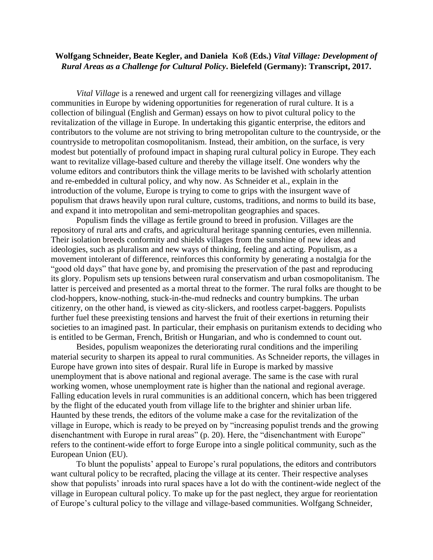## **Wolfgang Schneider, Beate Kegler, and Daniela Koß (Eds.)** *Vital Village: Development of Rural Areas as a Challenge for Cultural Policy***. Bielefeld (Germany): Transcript, 2017.**

*Vital Village* is a renewed and urgent call for reenergizing villages and village communities in Europe by widening opportunities for regeneration of rural culture. It is a collection of bilingual (English and German) essays on how to pivot cultural policy to the revitalization of the village in Europe. In undertaking this gigantic enterprise, the editors and contributors to the volume are not striving to bring metropolitan culture to the countryside, or the countryside to metropolitan cosmopolitanism. Instead, their ambition, on the surface, is very modest but potentially of profound impact in shaping rural cultural policy in Europe. They each want to revitalize village-based culture and thereby the village itself. One wonders why the volume editors and contributors think the village merits to be lavished with scholarly attention and re-embedded in cultural policy, and why now. As Schneider et al., explain in the introduction of the volume, Europe is trying to come to grips with the insurgent wave of populism that draws heavily upon rural culture, customs, traditions, and norms to build its base, and expand it into metropolitan and semi-metropolitan geographies and spaces.

Populism finds the village as fertile ground to breed in profusion. Villages are the repository of rural arts and crafts, and agricultural heritage spanning centuries, even millennia. Their isolation breeds conformity and shields villages from the sunshine of new ideas and ideologies, such as pluralism and new ways of thinking, feeling and acting. Populism, as a movement intolerant of difference, reinforces this conformity by generating a nostalgia for the "good old days" that have gone by, and promising the preservation of the past and reproducing its glory. Populism sets up tensions between rural conservatism and urban cosmopolitanism. The latter is perceived and presented as a mortal threat to the former. The rural folks are thought to be clod-hoppers, know-nothing, stuck-in-the-mud rednecks and country bumpkins. The urban citizenry, on the other hand, is viewed as city-slickers, and rootless carpet-baggers. Populists further fuel these preexisting tensions and harvest the fruit of their exertions in returning their societies to an imagined past. In particular, their emphasis on puritanism extends to deciding who is entitled to be German, French, British or Hungarian, and who is condemned to count out.

Besides, populism weaponizes the deteriorating rural conditions and the imperiling material security to sharpen its appeal to rural communities. As Schneider reports, the villages in Europe have grown into sites of despair. Rural life in Europe is marked by massive unemployment that is above national and regional average. The same is the case with rural working women, whose unemployment rate is higher than the national and regional average. Falling education levels in rural communities is an additional concern, which has been triggered by the flight of the educated youth from village life to the brighter and shinier urban life. Haunted by these trends, the editors of the volume make a case for the revitalization of the village in Europe, which is ready to be preyed on by "increasing populist trends and the growing disenchantment with Europe in rural areas" (p. 20). Here, the "disenchantment with Europe" refers to the continent-wide effort to forge Europe into a single political community, such as the European Union (EU).

To blunt the populists' appeal to Europe's rural populations, the editors and contributors want cultural policy to be recrafted, placing the village at its center. Their respective analyses show that populists' inroads into rural spaces have a lot do with the continent-wide neglect of the village in European cultural policy. To make up for the past neglect, they argue for reorientation of Europe's cultural policy to the village and village-based communities. Wolfgang Schneider,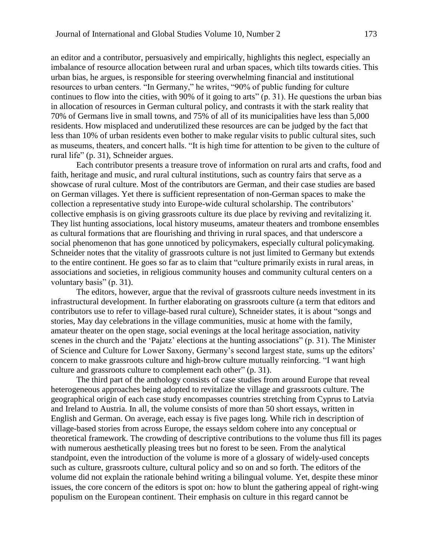an editor and a contributor, persuasively and empirically, highlights this neglect, especially an imbalance of resource allocation between rural and urban spaces, which tilts towards cities. This urban bias, he argues, is responsible for steering overwhelming financial and institutional resources to urban centers. "In Germany," he writes, "90% of public funding for culture continues to flow into the cities, with 90% of it going to arts" (p. 31). He questions the urban bias in allocation of resources in German cultural policy, and contrasts it with the stark reality that 70% of Germans live in small towns, and 75% of all of its municipalities have less than 5,000 residents. How misplaced and underutilized these resources are can be judged by the fact that less than 10% of urban residents even bother to make regular visits to public cultural sites, such as museums, theaters, and concert halls. "It is high time for attention to be given to the culture of rural life" (p. 31), Schneider argues.

Each contributor presents a treasure trove of information on rural arts and crafts, food and faith, heritage and music, and rural cultural institutions, such as country fairs that serve as a showcase of rural culture. Most of the contributors are German, and their case studies are based on German villages. Yet there is sufficient representation of non-German spaces to make the collection a representative study into Europe-wide cultural scholarship. The contributors' collective emphasis is on giving grassroots culture its due place by reviving and revitalizing it. They list hunting associations, local history museums, amateur theaters and trombone ensembles as cultural formations that are flourishing and thriving in rural spaces, and that underscore a social phenomenon that has gone unnoticed by policymakers, especially cultural policymaking. Schneider notes that the vitality of grassroots culture is not just limited to Germany but extends to the entire continent. He goes so far as to claim that "culture primarily exists in rural areas, in associations and societies, in religious community houses and community cultural centers on a voluntary basis" (p. 31).

The editors, however, argue that the revival of grassroots culture needs investment in its infrastructural development. In further elaborating on grassroots culture (a term that editors and contributors use to refer to village-based rural culture), Schneider states, it is about "songs and stories, May day celebrations in the village communities, music at home with the family, amateur theater on the open stage, social evenings at the local heritage association, nativity scenes in the church and the 'Pajatz' elections at the hunting associations" (p. 31). The Minister of Science and Culture for Lower Saxony, Germany's second largest state, sums up the editors' concern to make grassroots culture and high-brow culture mutually reinforcing. "I want high culture and grassroots culture to complement each other" (p. 31).

The third part of the anthology consists of case studies from around Europe that reveal heterogeneous approaches being adopted to revitalize the village and grassroots culture. The geographical origin of each case study encompasses countries stretching from Cyprus to Latvia and Ireland to Austria. In all, the volume consists of more than 50 short essays, written in English and German. On average, each essay is five pages long. While rich in description of village-based stories from across Europe, the essays seldom cohere into any conceptual or theoretical framework. The crowding of descriptive contributions to the volume thus fill its pages with numerous aesthetically pleasing trees but no forest to be seen. From the analytical standpoint, even the introduction of the volume is more of a glossary of widely-used concepts such as culture, grassroots culture, cultural policy and so on and so forth. The editors of the volume did not explain the rationale behind writing a bilingual volume. Yet, despite these minor issues, the core concern of the editors is spot on: how to blunt the gathering appeal of right-wing populism on the European continent. Their emphasis on culture in this regard cannot be